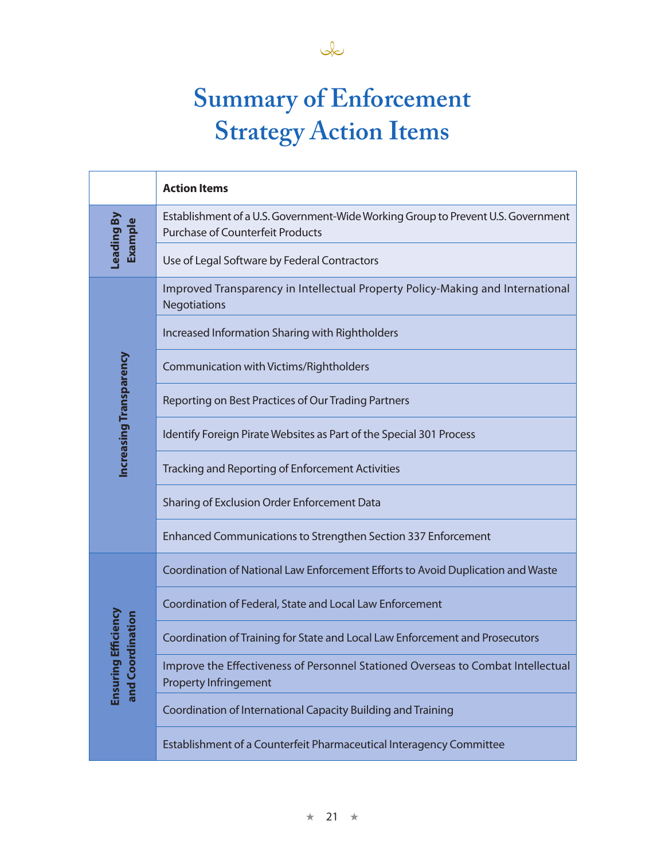

## **Summary of Enforcement Strategy Action Items**

|                                         | <b>Action Items</b>                                                                                                         |
|-----------------------------------------|-----------------------------------------------------------------------------------------------------------------------------|
| eading By<br>Example                    | Establishment of a U.S. Government-Wide Working Group to Prevent U.S. Government<br><b>Purchase of Counterfeit Products</b> |
|                                         | Use of Legal Software by Federal Contractors                                                                                |
| Increasing Transparency                 | Improved Transparency in Intellectual Property Policy-Making and International<br>Negotiations                              |
|                                         | Increased Information Sharing with Rightholders                                                                             |
|                                         | Communication with Victims/Rightholders                                                                                     |
|                                         | Reporting on Best Practices of Our Trading Partners                                                                         |
|                                         | Identify Foreign Pirate Websites as Part of the Special 301 Process                                                         |
|                                         | Tracking and Reporting of Enforcement Activities                                                                            |
|                                         | Sharing of Exclusion Order Enforcement Data                                                                                 |
|                                         | Enhanced Communications to Strengthen Section 337 Enforcement                                                               |
| ciency<br>nation<br>Ensuring<br>and Coo | Coordination of National Law Enforcement Efforts to Avoid Duplication and Waste                                             |
|                                         | Coordination of Federal, State and Local Law Enforcement                                                                    |
|                                         | Coordination of Training for State and Local Law Enforcement and Prosecutors                                                |
|                                         | Improve the Effectiveness of Personnel Stationed Overseas to Combat Intellectual<br><b>Property Infringement</b>            |
|                                         | Coordination of International Capacity Building and Training                                                                |
|                                         | Establishment of a Counterfeit Pharmaceutical Interagency Committee                                                         |